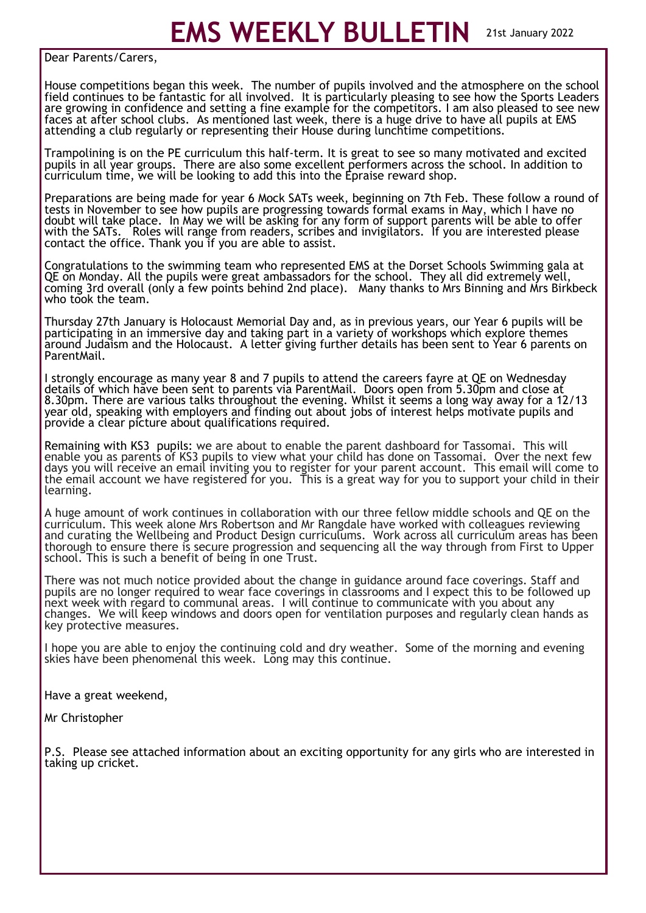**EMS WEEKLY BULLETIN** 21st January 2022

Dear Parents/Carers,

House competitions began this week. The number of pupils involved and the atmosphere on the school field continues to be fantastic for all involved. It is particularly pleasing to see how the Sports Leaders are growing in confidence and setting a fine example for the competitors. I am also pleased to see new faces at after school clubs. As mentioned last week, there is a huge drive to have all pupils at EMS attending a club regularly or representing their House during lunchtime competitions.

Trampolining is on the PE curriculum this half-term. It is great to see so many motivated and excited pupils in all year groups. There are also some excellent performers across the school. In addition to curriculum time, we will be looking to add this into the Epraise reward shop.

Preparations are being made for year 6 Mock SATs week, beginning on 7th Feb. These follow a round of tests in November to see how pupils are progressing towards formal exams in May, which I have no doubt will take place. In May we will be asking for any form of support parents will be able to offer with the SATs. Roles will range from readers, scribes and invigilators. If you are interested please contact the office. Thank you if you are able to assist.

Congratulations to the swimming team who represented EMS at the Dorset Schools Swimming gala at QE on Monday. All the pupils were great ambassadors for the school. They all did extremely well, coming 3rd overall (only a few points behind 2nd place). Many thanks to Mrs Binning and Mrs Birkbeck who took the team.

Thursday 27th January is Holocaust Memorial Day and, as in previous years, our Year 6 pupils will be participating in an immersive day and taking part in a variety of workshops which explore themes around Judaism and the Holocaust. A letter giving further details has been sent to Year 6 parents on ParentMail.

I strongly encourage as many year 8 and 7 pupils to attend the careers fayre at QE on Wednesday details of which have been sent to parents via ParentMail. Doors open from 5.30pm and close at 8.30pm. There are various talks throughout the evening. Whilst it seems a long way away for a 12/13 year old, speaking with employers and finding out about jobs of interest helps motivate pupils and provide a clear picture about qualifications required.

Remaining with KS3 pupils: we are about to enable the parent dashboard for Tassomai. This will enable you as parents of KS3 pupils to view what your child has done on Tassomai. Over the next few days you will receive an email inviting you to register for your parent account. This email will come to the email account we have registered for you. This is a great way for you to support your child in their learning.

A huge amount of work continues in collaboration with our three fellow middle schools and QE on the curriculum. This week alone Mrs Robertson and Mr Rangdale have worked with colleagues reviewing and curating the Wellbeing and Product Design curriculums. Work across all curriculum areas has been thorough to ensure there is secure progression and sequencing all the way through from First to Upper school. This is such a benefit of being in one Trust.

There was not much notice provided about the change in guidance around face coverings. Staff and pupils are no longer required to wear face coverings in classrooms and I expect this to be followed up next week with regard to communal areas. I will continue to communicate with you about any changes. We will keep windows and doors open for ventilation purposes and regularly clean hands as key protective measures.

I hope you are able to enjoy the continuing cold and dry weather. Some of the morning and evening skies have been phenomenal this week. Long may this continue.

Have a great weekend,

Mr Christopher

P.S. Please see attached information about an exciting opportunity for any girls who are interested in taking up cricket.